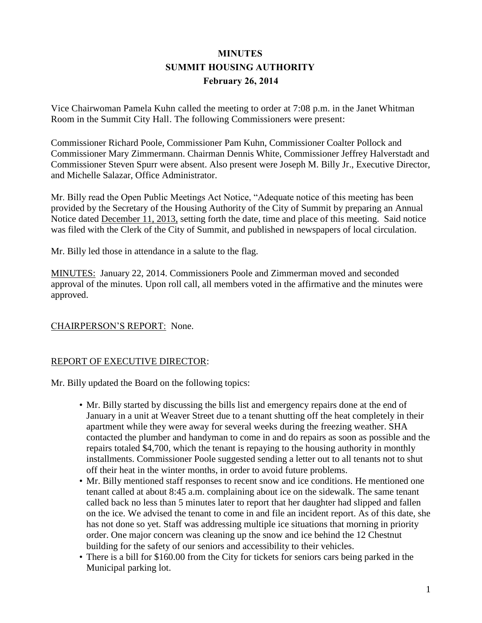# **MINUTES SUMMIT HOUSING AUTHORITY February 26, 2014**

Vice Chairwoman Pamela Kuhn called the meeting to order at 7:08 p.m. in the Janet Whitman Room in the Summit City Hall. The following Commissioners were present:

Commissioner Richard Poole, Commissioner Pam Kuhn, Commissioner Coalter Pollock and Commissioner Mary Zimmermann. Chairman Dennis White, Commissioner Jeffrey Halverstadt and Commissioner Steven Spurr were absent. Also present were Joseph M. Billy Jr., Executive Director, and Michelle Salazar, Office Administrator.

Mr. Billy read the Open Public Meetings Act Notice, "Adequate notice of this meeting has been provided by the Secretary of the Housing Authority of the City of Summit by preparing an Annual Notice dated December 11, 2013, setting forth the date, time and place of this meeting. Said notice was filed with the Clerk of the City of Summit, and published in newspapers of local circulation.

Mr. Billy led those in attendance in a salute to the flag.

MINUTES: January 22, 2014. Commissioners Poole and Zimmerman moved and seconded approval of the minutes. Upon roll call, all members voted in the affirmative and the minutes were approved.

# CHAIRPERSON'S REPORT: None.

#### REPORT OF EXECUTIVE DIRECTOR:

Mr. Billy updated the Board on the following topics:

- Mr. Billy started by discussing the bills list and emergency repairs done at the end of January in a unit at Weaver Street due to a tenant shutting off the heat completely in their apartment while they were away for several weeks during the freezing weather. SHA contacted the plumber and handyman to come in and do repairs as soon as possible and the repairs totaled \$4,700, which the tenant is repaying to the housing authority in monthly installments. Commissioner Poole suggested sending a letter out to all tenants not to shut off their heat in the winter months, in order to avoid future problems.
- Mr. Billy mentioned staff responses to recent snow and ice conditions. He mentioned one tenant called at about 8:45 a.m. complaining about ice on the sidewalk. The same tenant called back no less than 5 minutes later to report that her daughter had slipped and fallen on the ice. We advised the tenant to come in and file an incident report. As of this date, she has not done so yet. Staff was addressing multiple ice situations that morning in priority order. One major concern was cleaning up the snow and ice behind the 12 Chestnut building for the safety of our seniors and accessibility to their vehicles.
- There is a bill for \$160.00 from the City for tickets for seniors cars being parked in the Municipal parking lot.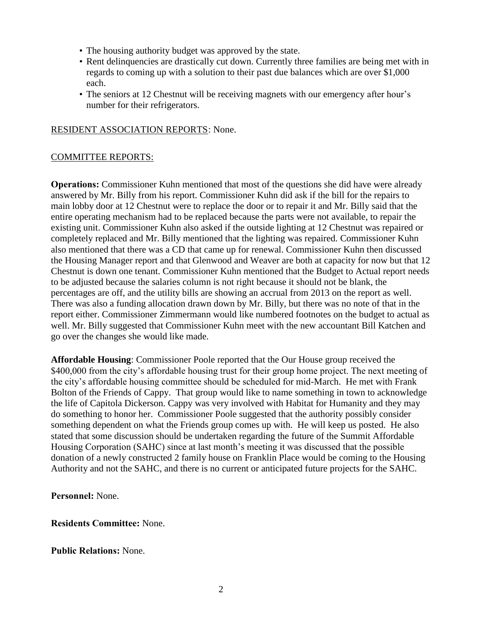- The housing authority budget was approved by the state.
- Rent delinquencies are drastically cut down. Currently three families are being met with in regards to coming up with a solution to their past due balances which are over \$1,000 each.
- The seniors at 12 Chestnut will be receiving magnets with our emergency after hour's number for their refrigerators.

## RESIDENT ASSOCIATION REPORTS: None.

## COMMITTEE REPORTS:

**Operations:** Commissioner Kuhn mentioned that most of the questions she did have were already answered by Mr. Billy from his report. Commissioner Kuhn did ask if the bill for the repairs to main lobby door at 12 Chestnut were to replace the door or to repair it and Mr. Billy said that the entire operating mechanism had to be replaced because the parts were not available, to repair the existing unit. Commissioner Kuhn also asked if the outside lighting at 12 Chestnut was repaired or completely replaced and Mr. Billy mentioned that the lighting was repaired. Commissioner Kuhn also mentioned that there was a CD that came up for renewal. Commissioner Kuhn then discussed the Housing Manager report and that Glenwood and Weaver are both at capacity for now but that 12 Chestnut is down one tenant. Commissioner Kuhn mentioned that the Budget to Actual report needs to be adjusted because the salaries column is not right because it should not be blank, the percentages are off, and the utility bills are showing an accrual from 2013 on the report as well. There was also a funding allocation drawn down by Mr. Billy, but there was no note of that in the report either. Commissioner Zimmermann would like numbered footnotes on the budget to actual as well. Mr. Billy suggested that Commissioner Kuhn meet with the new accountant Bill Katchen and go over the changes she would like made.

**Affordable Housing**: Commissioner Poole reported that the Our House group received the \$400,000 from the city's affordable housing trust for their group home project. The next meeting of the city's affordable housing committee should be scheduled for mid-March. He met with Frank Bolton of the Friends of Cappy. That group would like to name something in town to acknowledge the life of Capitola Dickerson. Cappy was very involved with Habitat for Humanity and they may do something to honor her. Commissioner Poole suggested that the authority possibly consider something dependent on what the Friends group comes up with. He will keep us posted. He also stated that some discussion should be undertaken regarding the future of the Summit Affordable Housing Corporation (SAHC) since at last month's meeting it was discussed that the possible donation of a newly constructed 2 family house on Franklin Place would be coming to the Housing Authority and not the SAHC, and there is no current or anticipated future projects for the SAHC.

**Personnel:** None.

**Residents Committee:** None.

**Public Relations:** None.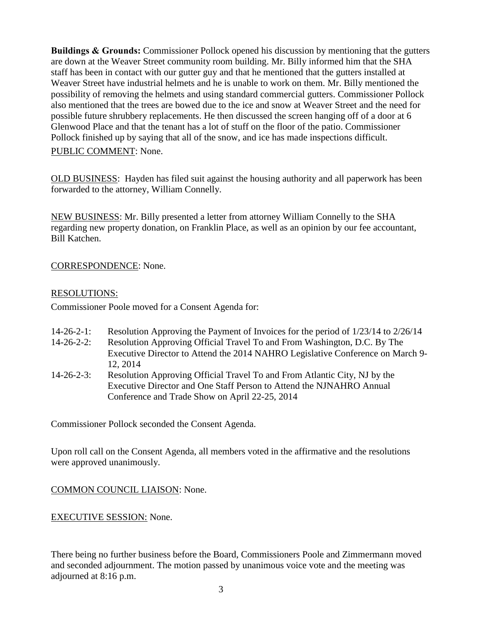**Buildings & Grounds:** Commissioner Pollock opened his discussion by mentioning that the gutters are down at the Weaver Street community room building. Mr. Billy informed him that the SHA staff has been in contact with our gutter guy and that he mentioned that the gutters installed at Weaver Street have industrial helmets and he is unable to work on them. Mr. Billy mentioned the possibility of removing the helmets and using standard commercial gutters. Commissioner Pollock also mentioned that the trees are bowed due to the ice and snow at Weaver Street and the need for possible future shrubbery replacements. He then discussed the screen hanging off of a door at 6 Glenwood Place and that the tenant has a lot of stuff on the floor of the patio. Commissioner Pollock finished up by saying that all of the snow, and ice has made inspections difficult.

PUBLIC COMMENT: None.

OLD BUSINESS: Hayden has filed suit against the housing authority and all paperwork has been forwarded to the attorney, William Connelly.

NEW BUSINESS: Mr. Billy presented a letter from attorney William Connelly to the SHA regarding new property donation, on Franklin Place, as well as an opinion by our fee accountant, Bill Katchen.

## CORRESPONDENCE: None.

#### RESOLUTIONS:

Commissioner Poole moved for a Consent Agenda for:

- 14-26-2-1: Resolution Approving the Payment of Invoices for the period of 1/23/14 to 2/26/14
- 14-26-2-2: Resolution Approving Official Travel To and From Washington, D.C. By The Executive Director to Attend the 2014 NAHRO Legislative Conference on March 9- 12, 2014
- 14-26-2-3: Resolution Approving Official Travel To and From Atlantic City, NJ by the Executive Director and One Staff Person to Attend the NJNAHRO Annual Conference and Trade Show on April 22-25, 2014

Commissioner Pollock seconded the Consent Agenda.

Upon roll call on the Consent Agenda, all members voted in the affirmative and the resolutions were approved unanimously.

COMMON COUNCIL LIAISON: None.

#### EXECUTIVE SESSION: None.

There being no further business before the Board, Commissioners Poole and Zimmermann moved and seconded adjournment. The motion passed by unanimous voice vote and the meeting was adjourned at 8:16 p.m.